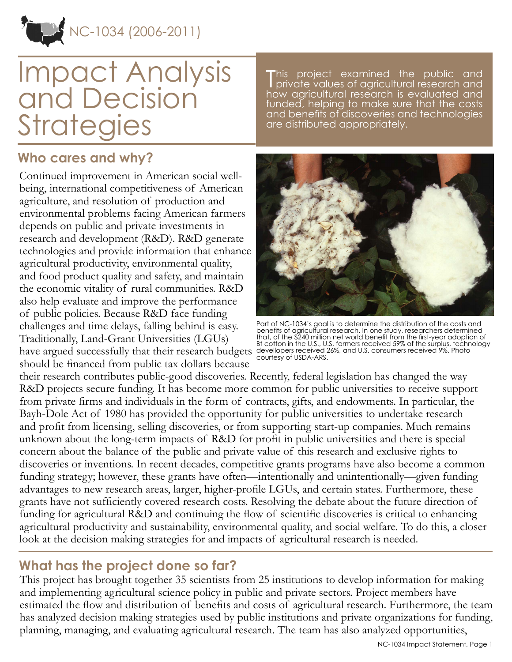

# Impact Analysis and Decision **Strategies**

This project examined the public and private values of agricultural research and how agricultural research is evaluated and funded, helping to make sure that the costs and benefits of discoveries and technologies are distributed appropriately.

## **Who cares and why?**

Continued improvement in American social wellbeing, international competitiveness of American agriculture, and resolution of production and environmental problems facing American farmers depends on public and private investments in research and development (R&D). R&D generate technologies and provide information that enhance agricultural productivity, environmental quality, and food product quality and safety, and maintain the economic vitality of rural communities. R&D also help evaluate and improve the performance of public policies. Because R&D face funding challenges and time delays, falling behind is easy. Traditionally, Land-Grant Universities (LGUs) have argued successfully that their research budgets devellopers received 26%, and U.S. consumers received 9%. Photo should be financed from public tax dollars because



Part of NC-1034's goal is to determine the distribution of the costs and benefits of agricultural research. In one study, researchers determined that, of the \$240 million net world benefit from the first-year adoption of Bt cotton in the U.S., U.S. farmers received 59% of the surplus, technology courtesy of USDA-ARS.

their research contributes public-good discoveries. Recently, federal legislation has changed the way R&D projects secure funding. It has become more common for public universities to receive support from private firms and individuals in the form of contracts, gifts, and endowments. In particular, the Bayh-Dole Act of 1980 has provided the opportunity for public universities to undertake research and profit from licensing, selling discoveries, or from supporting start-up companies. Much remains unknown about the long-term impacts of R&D for profit in public universities and there is special concern about the balance of the public and private value of this research and exclusive rights to discoveries or inventions. In recent decades, competitive grants programs have also become a common funding strategy; however, these grants have often—intentionally and unintentionally—given funding advantages to new research areas, larger, higher-profile LGUs, and certain states. Furthermore, these grants have not sufficiently covered research costs. Resolving the debate about the future direction of funding for agricultural R&D and continuing the flow of scientific discoveries is critical to enhancing agricultural productivity and sustainability, environmental quality, and social welfare. To do this, a closer look at the decision making strategies for and impacts of agricultural research is needed.

## **What has the project done so far?**

This project has brought together 35 scientists from 25 institutions to develop information for making and implementing agricultural science policy in public and private sectors. Project members have estimated the flow and distribution of benefits and costs of agricultural research. Furthermore, the team has analyzed decision making strategies used by public institutions and private organizations for funding, planning, managing, and evaluating agricultural research. The team has also analyzed opportunities,